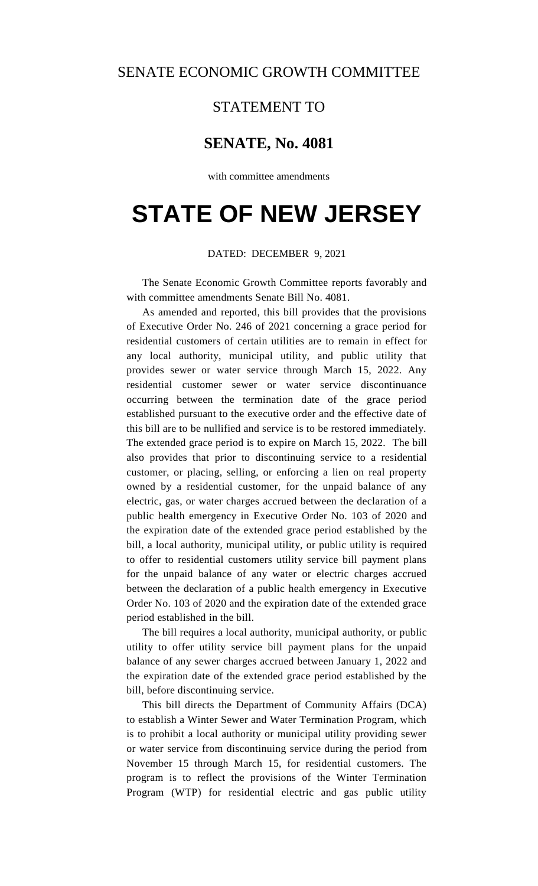## STATEMENT TO

## **SENATE, No. 4081**

with committee amendments

## **STATE OF NEW JERSEY**

## DATED: DECEMBER 9, 2021

The Senate Economic Growth Committee reports favorably and with committee amendments Senate Bill No. 4081.

As amended and reported, this bill provides that the provisions of Executive Order No. 246 of 2021 concerning a grace period for residential customers of certain utilities are to remain in effect for any local authority, municipal utility, and public utility that provides sewer or water service through March 15, 2022. Any residential customer sewer or water service discontinuance occurring between the termination date of the grace period established pursuant to the executive order and the effective date of this bill are to be nullified and service is to be restored immediately. The extended grace period is to expire on March 15, 2022. The bill also provides that prior to discontinuing service to a residential customer, or placing, selling, or enforcing a lien on real property owned by a residential customer, for the unpaid balance of any electric, gas, or water charges accrued between the declaration of a public health emergency in Executive Order No. 103 of 2020 and the expiration date of the extended grace period established by the bill, a local authority, municipal utility, or public utility is required to offer to residential customers utility service bill payment plans for the unpaid balance of any water or electric charges accrued between the declaration of a public health emergency in Executive Order No. 103 of 2020 and the expiration date of the extended grace period established in the bill.

The bill requires a local authority, municipal authority, or public utility to offer utility service bill payment plans for the unpaid balance of any sewer charges accrued between January 1, 2022 and the expiration date of the extended grace period established by the bill, before discontinuing service.

This bill directs the Department of Community Affairs (DCA) to establish a Winter Sewer and Water Termination Program, which is to prohibit a local authority or municipal utility providing sewer or water service from discontinuing service during the period from November 15 through March 15, for residential customers. The program is to reflect the provisions of the Winter Termination Program (WTP) for residential electric and gas public utility